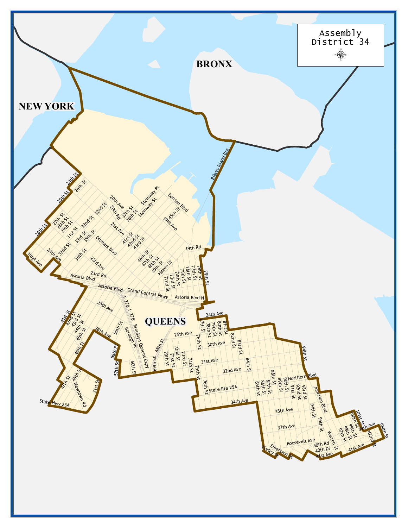